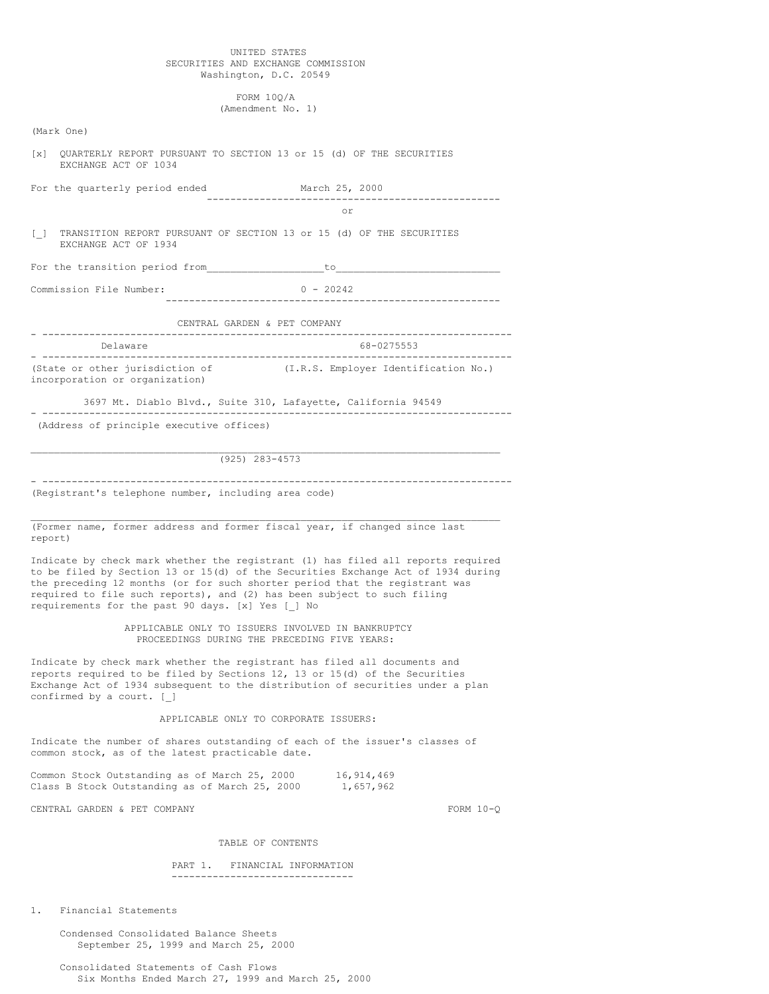## UNITED STATES SECURITIES AND EXCHANGE COMMISSION Washington, D.C. 20549

FORM 10Q/A (Amendment No. 1)

| (Mark One)                                                                                                                                                                                                                                                                                                                                                                          |                                                  |
|-------------------------------------------------------------------------------------------------------------------------------------------------------------------------------------------------------------------------------------------------------------------------------------------------------------------------------------------------------------------------------------|--------------------------------------------------|
| QUARTERLY REPORT PURSUANT TO SECTION 13 or 15 (d) OF THE SECURITIES<br>$\lceil x \rceil$<br>EXCHANGE ACT OF 1034                                                                                                                                                                                                                                                                    |                                                  |
| For the quarterly period ended                                                                                                                                                                                                                                                                                                                                                      | March 25, 2000                                   |
|                                                                                                                                                                                                                                                                                                                                                                                     | or                                               |
| TRANSITION REPORT PURSUANT OF SECTION 13 or 15 (d) OF THE SECURITIES<br>$\begin{array}{c} \square \end{array}$<br>EXCHANGE ACT OF 1934                                                                                                                                                                                                                                              |                                                  |
|                                                                                                                                                                                                                                                                                                                                                                                     |                                                  |
| Commission File Number:                                                                                                                                                                                                                                                                                                                                                             | $0 - 20242$                                      |
| CENTRAL GARDEN & PET COMPANY                                                                                                                                                                                                                                                                                                                                                        |                                                  |
| Delaware                                                                                                                                                                                                                                                                                                                                                                            | ----------------------------------<br>68-0275553 |
| (State or other jurisdiction of<br>incorporation or organization)                                                                                                                                                                                                                                                                                                                   | (I.R.S. Employer Identification No.)             |
| 3697 Mt. Diablo Blvd., Suite 310, Lafayette, California 94549                                                                                                                                                                                                                                                                                                                       | ------------------------                         |
| (Address of principle executive offices)                                                                                                                                                                                                                                                                                                                                            |                                                  |
| $(925)$ 283-4573                                                                                                                                                                                                                                                                                                                                                                    |                                                  |
| (Registrant's telephone number, including area code)                                                                                                                                                                                                                                                                                                                                |                                                  |
| (Former name, former address and former fiscal year, if changed since last<br>report)                                                                                                                                                                                                                                                                                               |                                                  |
| Indicate by check mark whether the registrant (1) has filed all reports required<br>to be filed by Section 13 or 15(d) of the Securities Exchange Act of 1934 during<br>the preceding 12 months (or for such shorter period that the registrant was<br>required to file such reports), and (2) has been subject to such filing<br>requirements for the past 90 days. [x] Yes [ ] No |                                                  |
| APPLICABLE ONLY TO ISSUERS INVOLVED IN BANKRUPTCY<br>PROCEEDINGS DURING THE PRECEDING FIVE YEARS:                                                                                                                                                                                                                                                                                   |                                                  |
| Indicate by check mark whether the registrant has filed all documents and<br>reports required to be filed by Sections 12, 13 or 15(d) of the Securities<br>Exchange Act of 1934 subsequent to the distribution of securities under a plan<br>confirmed by a court. [ ]                                                                                                              |                                                  |
| APPLICABLE ONLY TO CORPORATE ISSUERS:                                                                                                                                                                                                                                                                                                                                               |                                                  |
| Indicate the number of shares outstanding of each of the issuer's classes of<br>common stock, as of the latest practicable date.                                                                                                                                                                                                                                                    |                                                  |
| Common Stock Outstanding as of March 25, 2000<br>Class B Stock Outstanding as of March 25, 2000 $1,657,962$                                                                                                                                                                                                                                                                         | 16,914,469                                       |
| CENTRAL GARDEN & PET COMPANY                                                                                                                                                                                                                                                                                                                                                        | FORM $10-Q$                                      |
| TABLE OF CONTENTS                                                                                                                                                                                                                                                                                                                                                                   |                                                  |
| PART 1. FINANCIAL INFORMATION<br>---------------------------------                                                                                                                                                                                                                                                                                                                  |                                                  |
|                                                                                                                                                                                                                                                                                                                                                                                     |                                                  |

1. Financial Statements

Condensed Consolidated Balance Sheets September 25, 1999 and March 25, 2000

Consolidated Statements of Cash Flows Six Months Ended March 27, 1999 and March 25, 2000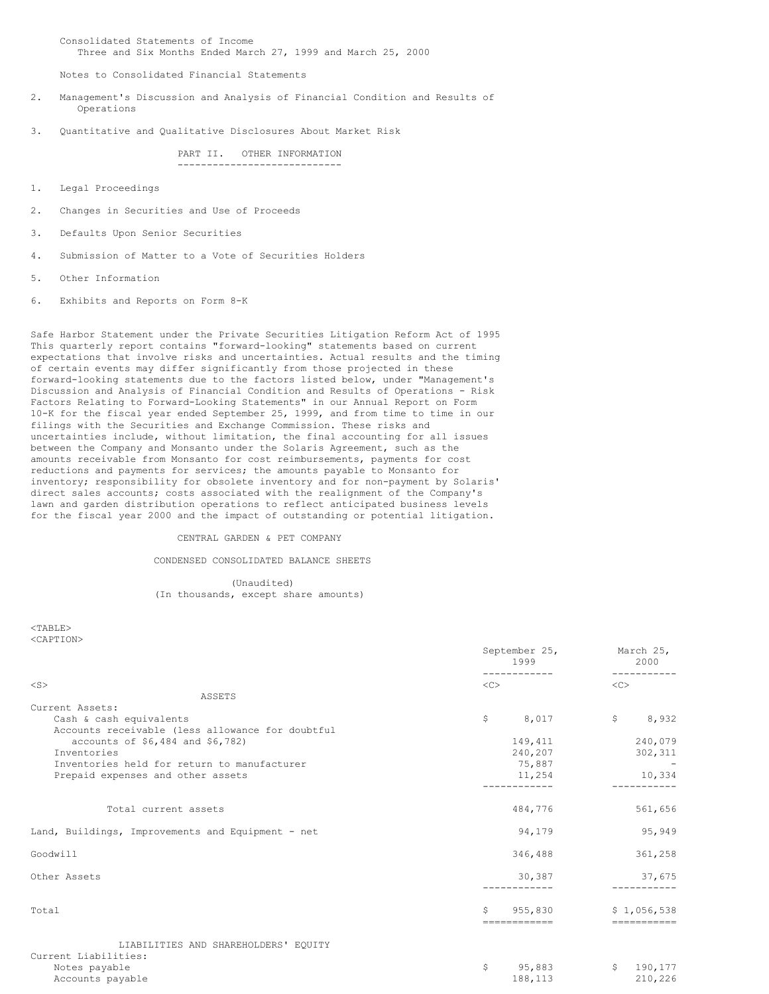Consolidated Statements of Income Three and Six Months Ended March 27, 1999 and March 25, 2000

Notes to Consolidated Financial Statements

- 2. Management's Discussion and Analysis of Financial Condition and Results of Operations
- 3. Quantitative and Qualitative Disclosures About Market Risk

PART II. OTHER INFORMATION ----------------------------

- 1. Legal Proceedings
- 2. Changes in Securities and Use of Proceeds
- 3. Defaults Upon Senior Securities
- 4. Submission of Matter to a Vote of Securities Holders
- 5. Other Information
- 6. Exhibits and Reports on Form 8-K

Safe Harbor Statement under the Private Securities Litigation Reform Act of 1995 This quarterly report contains "forward-looking" statements based on current expectations that involve risks and uncertainties. Actual results and the timing of certain events may differ significantly from those projected in these forward-looking statements due to the factors listed below, under "Management's Discussion and Analysis of Financial Condition and Results of Operations - Risk Factors Relating to Forward-Looking Statements" in our Annual Report on Form 10-K for the fiscal year ended September 25, 1999, and from time to time in our filings with the Securities and Exchange Commission. These risks and uncertainties include, without limitation, the final accounting for all issues between the Company and Monsanto under the Solaris Agreement, such as the amounts receivable from Monsanto for cost reimbursements, payments for cost reductions and payments for services; the amounts payable to Monsanto for inventory; responsibility for obsolete inventory and for non-payment by Solaris' direct sales accounts; costs associated with the realignment of the Company's lawn and garden distribution operations to reflect anticipated business levels for the fiscal year 2000 and the impact of outstanding or potential litigation.

### CENTRAL GARDEN & PET COMPANY

CONDENSED CONSOLIDATED BALANCE SHEETS

(Unaudited) (In thousands, except share amounts)

<TABLE> <CAPTION>

|                                                   |                     | $\cup$ $\cup$ $\cup$ $\ldots$ $\cup$ $\cup$ $\vdots$<br>1999 |              | 2000        |
|---------------------------------------------------|---------------------|--------------------------------------------------------------|--------------|-------------|
| $<$ S>                                            | $\langle C \rangle$ |                                                              | <<           |             |
| ASSETS                                            |                     |                                                              |              |             |
| Current Assets:                                   |                     |                                                              |              |             |
| Cash & cash equivalents                           | \$                  | 8,017                                                        | $\mathsf{S}$ | 8,932       |
| Accounts receivable (less allowance for doubtful  |                     |                                                              |              |             |
| accounts of \$6,484 and \$6,782)                  |                     | 149,411                                                      |              | 240,079     |
| Inventories                                       |                     | 240,207                                                      |              | 302,311     |
| Inventories held for return to manufacturer       |                     | 75,887                                                       |              |             |
| Prepaid expenses and other assets                 |                     | 11,254                                                       |              | 10,334      |
|                                                   |                     |                                                              |              |             |
| Total current assets                              |                     | 484,776                                                      |              | 561,656     |
| Land, Buildings, Improvements and Equipment - net |                     | 94,179                                                       |              | 95,949      |
| Goodwill                                          |                     | 346,488                                                      |              | 361,258     |
| Other Assets                                      |                     | 30,387                                                       |              | 37,675      |
| Total                                             | \$                  | 955,830                                                      |              | \$1,056,538 |
|                                                   |                     | ============                                                 |              | =========== |
| LIABILITIES AND SHAREHOLDERS' EQUITY              |                     |                                                              |              |             |
| Current Liabilities:                              |                     |                                                              |              |             |
| Notes payable                                     | \$                  | 95,883                                                       | $\mathsf{S}$ | 190,177     |
| Accounts payable                                  |                     | 188,113                                                      |              | 210,226     |

September 25, March 25,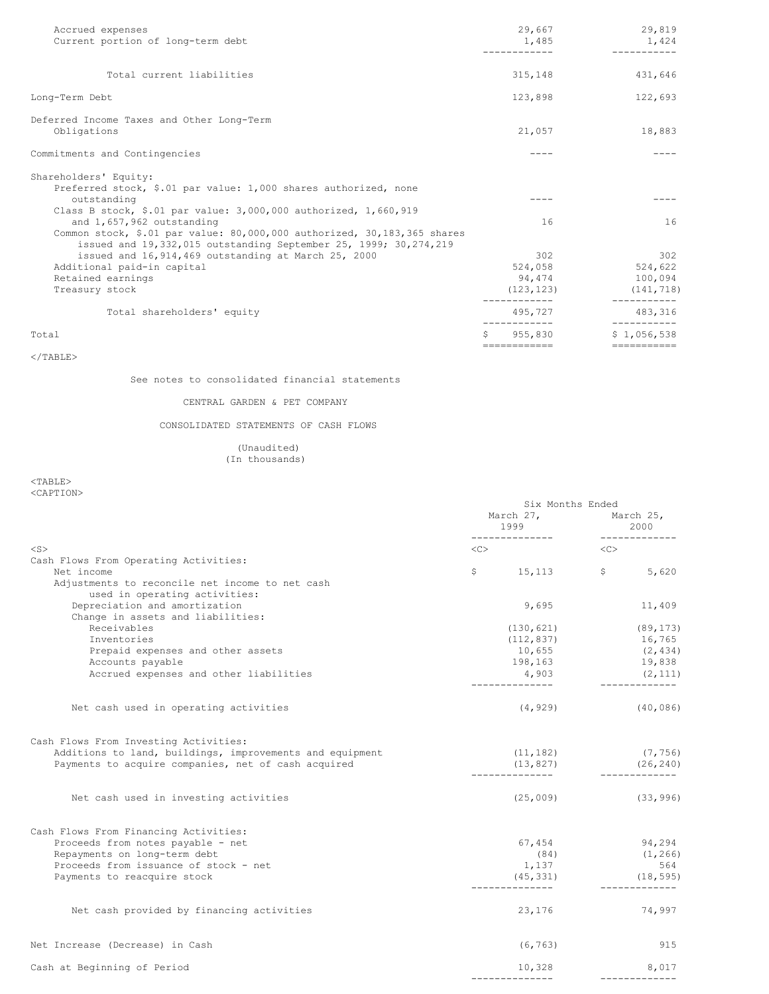| Accrued expenses<br>Current portion of long-term debt                                            |    | 29,667<br>1,485    | 29,819<br>1,424   |
|--------------------------------------------------------------------------------------------------|----|--------------------|-------------------|
|                                                                                                  |    |                    |                   |
| Total current liabilities                                                                        |    | 315,148            | 431,646           |
| Long-Term Debt                                                                                   |    | 123,898            | 122,693           |
| Deferred Income Taxes and Other Long-Term                                                        |    |                    |                   |
| Obligations                                                                                      |    | 21,057             | 18,883            |
| Commitments and Contingencies                                                                    |    | ----               |                   |
| Shareholders' Equity:                                                                            |    |                    |                   |
| Preferred stock, \$.01 par value: 1,000 shares authorized, none                                  |    |                    |                   |
| outstanding                                                                                      |    |                    |                   |
| Class B stock, \$.01 par value: $3,000,000$ authorized, $1,660,919$<br>and 1,657,962 outstanding |    | 16                 | 16                |
| Common stock, \$.01 par value: 80,000,000 authorized, 30,183,365 shares                          |    |                    |                   |
| issued and 19,332,015 outstanding September 25, 1999; 30,274,219                                 |    |                    |                   |
| issued and 16, 914, 469 outstanding at March 25, 2000                                            |    | 302                | 302               |
| Additional paid-in capital                                                                       |    | 524,058            | 524,622           |
| Retained earnings                                                                                |    | 94,474             | 100,094           |
| Treasury stock                                                                                   |    | (123, 123)         | (141, 718)        |
| Total shareholders' equity                                                                       |    | 495,727            | 483,316           |
| Total                                                                                            | S. | 955,830            | \$1.056.538       |
|                                                                                                  |    | <b>EEEEEEEEEEE</b> | <b>EEEEEEEEEE</b> |

 $<$ /TABLE>

See notes to consolidated financial statements

# CENTRAL GARDEN & PET COMPANY

CONSOLIDATED STATEMENTS OF CASH FLOWS

## (Unaudited) (In thousands)

<TABLE> <CAPTION>

|                                                                                                                                                          | Six Months Ended    |                             |           |                                      |
|----------------------------------------------------------------------------------------------------------------------------------------------------------|---------------------|-----------------------------|-----------|--------------------------------------|
|                                                                                                                                                          |                     | March 27, March 25,<br>1999 |           | 2000<br>_______________              |
| $<$ S $>$                                                                                                                                                | $\langle C \rangle$ |                             | < <c></c> |                                      |
| Cash Flows From Operating Activities:                                                                                                                    |                     |                             |           |                                      |
| Net income                                                                                                                                               |                     | $$5, 113$ $$5, 620$         |           |                                      |
| Adjustments to reconcile net income to net cash<br>used in operating activities:                                                                         |                     |                             |           |                                      |
| Depreciation and amortization                                                                                                                            |                     | 9,695                       |           | 11,409                               |
| Change in assets and liabilities:                                                                                                                        |                     |                             |           |                                      |
| Receivables                                                                                                                                              |                     | (130, 621)                  |           | (89, 173)                            |
| Inventories                                                                                                                                              |                     | (112, 837)                  |           | 16,765                               |
| Prepaid expenses and other assets                                                                                                                        |                     | 10,655                      |           | (2, 434)                             |
| Accounts payable                                                                                                                                         |                     | 198,163                     |           | 19,838                               |
| Accrued expenses and other liabilities                                                                                                                   |                     | 4,903                       |           | (2, 111)                             |
|                                                                                                                                                          |                     |                             |           |                                      |
| Net cash used in operating activities                                                                                                                    |                     | $(4, 929)$ (40,086)         |           |                                      |
| Cash Flows From Investing Activities:<br>Additions to land, buildings, improvements and equipment<br>Payments to acquire companies, net of cash acquired |                     | (11, 182)<br>(13, 827)      |           | (7, 756)<br>(26, 240)<br>___________ |
| Net cash used in investing activities                                                                                                                    |                     | $(25,009)$ (33,996)         |           |                                      |
| Cash Flows From Financing Activities:                                                                                                                    |                     |                             |           |                                      |
| Proceeds from notes payable - net                                                                                                                        |                     | 67,454                      |           | 94, 294                              |
| Repayments on long-term debt                                                                                                                             |                     | (84)                        |           | (1, 266)                             |
| Proceeds from issuance of stock - net                                                                                                                    |                     | 1,137                       |           | 564                                  |
| Payments to reacquire stock                                                                                                                              |                     | (45, 331)                   |           | (18, 595)<br>_____________           |
| Net cash provided by financing activities                                                                                                                |                     | 23,176                      |           | 74,997                               |
| Net Increase (Decrease) in Cash                                                                                                                          |                     | (6, 763)                    |           | 915                                  |
| Cash at Beginning of Period                                                                                                                              |                     | 10,328                      |           | 8,017                                |
|                                                                                                                                                          |                     |                             |           | ----------                           |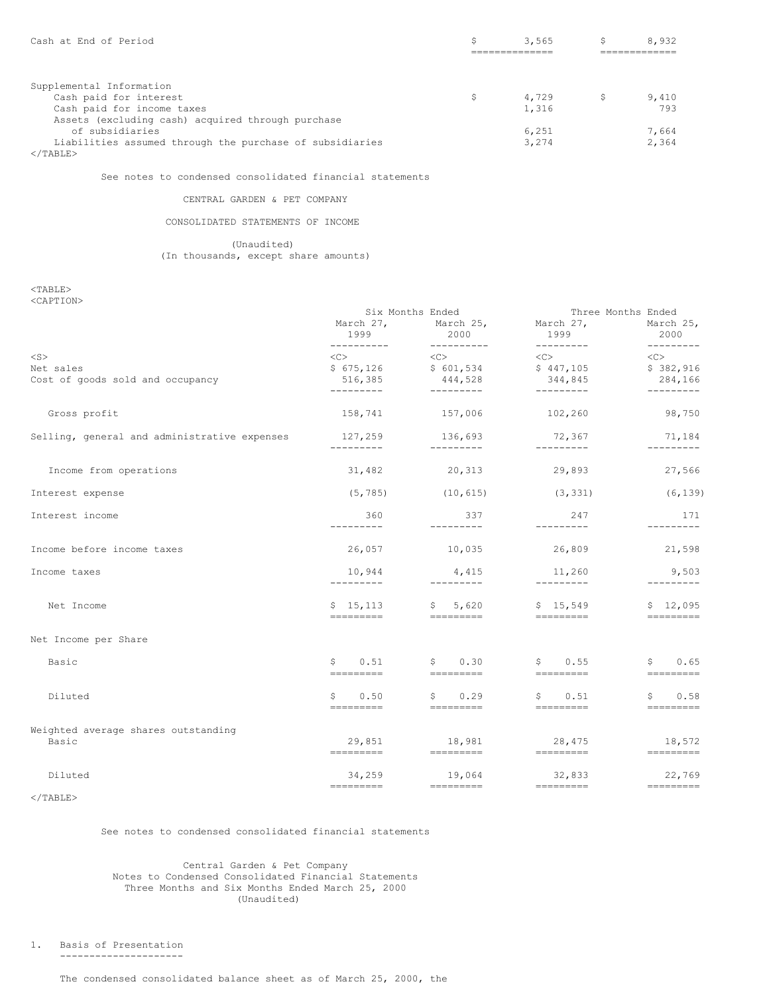| Cash at End of Period                                    | 3,565 |    | 8,932 |
|----------------------------------------------------------|-------|----|-------|
|                                                          |       |    |       |
|                                                          |       |    |       |
| Supplemental Information                                 |       |    |       |
| Cash paid for interest                                   | 4,729 | S. | 9,410 |
| Cash paid for income taxes                               | 1,316 |    | 793   |
| Assets (excluding cash) acquired through purchase        |       |    |       |
| of subsidiaries                                          | 6,251 |    | 7.664 |
| Liabilities assumed through the purchase of subsidiaries | 3,274 |    | 2.364 |
| $\langle$ /TABLE>                                        |       |    |       |

See notes to condensed consolidated financial statements

## CENTRAL GARDEN & PET COMPANY

## CONSOLIDATED STATEMENTS OF INCOME

(Unaudited) (In thousands, except share amounts)

<TABLE> <CAPTION>

|                                              |                                                                                                        | Six Months Ended                                     | Three Months Ended                     |                                          |  |
|----------------------------------------------|--------------------------------------------------------------------------------------------------------|------------------------------------------------------|----------------------------------------|------------------------------------------|--|
|                                              | March 27,<br>1999                                                                                      | March 25, March 27,<br>2000<br>$- - - - - - - - - -$ | 1999<br>---------                      | March 25,<br>2000<br>$- - - - - - - - -$ |  |
| $<$ S $>$                                    | ----------<br>$\langle C \rangle$                                                                      | $\langle$ C> $\rangle$                               | $\langle C \rangle$                    | $<<$ $<$ $<$ $>$                         |  |
| Net sales                                    |                                                                                                        | $$675,126$ $$601,534$                                | \$447,105                              | \$382,916                                |  |
| Cost of goods sold and occupancy             |                                                                                                        | 516,385 444,528                                      | 344,845                                | 284,166                                  |  |
|                                              | ----------                                                                                             | _________                                            | ----------                             | ----------                               |  |
| Gross profit                                 |                                                                                                        | 158,741 157,006 102,260                              |                                        | 98,750                                   |  |
| Selling, general and administrative expenses | 127,259<br>----------                                                                                  | 136,693<br>----------                                | 72,367<br>----------                   | 71,184<br>$- - - - - - - - -$            |  |
| Income from operations                       | 31,482                                                                                                 | 20, 313                                              | 29,893                                 | 27,566                                   |  |
| Interest expense                             | (5, 785)                                                                                               | (10, 615)                                            | (3, 331)                               | (6, 139)                                 |  |
| Interest income                              | 360<br>----------                                                                                      | 337<br>---------                                     | 247<br>----------                      | 171<br>---------                         |  |
| Income before income taxes                   | 26,057                                                                                                 | 10,035                                               | 26,809                                 | 21,598                                   |  |
| Income taxes                                 | 10,944<br>----------                                                                                   | 4,415<br>----------                                  | 11,260<br>$- - - - - - - - -$          | 9,503<br>$- - - - - - - - -$             |  |
| Net Income                                   | \$15,113<br>=========                                                                                  | \$5,620                                              | \$15,549<br><b>CONTRACTOR</b>          | \$12,095<br>=========                    |  |
| Net Income per Share                         |                                                                                                        |                                                      |                                        |                                          |  |
| Basic                                        | \$0.51<br>----------                                                                                   | \$0.30<br>----------                                 | \$0.55<br>----------                   | \$0.65<br>$=$ =========                  |  |
|                                              |                                                                                                        |                                                      |                                        |                                          |  |
| Diluted                                      | \$0.50<br>=========                                                                                    | \$0.29<br>---------                                  | \$0.51<br><b>CONSIDERED AND REPORT</b> | $\mathsf{S}$<br>0.58<br>----------       |  |
| Weighted average shares outstanding          |                                                                                                        |                                                      |                                        |                                          |  |
| Basic                                        | 29,851<br>=========                                                                                    | 18,981<br>___________                                | 28,475<br><b>September 1999</b>        | 18,572<br>___________                    |  |
| Diluted                                      | 34,259                                                                                                 | 19,064                                               | 32,833                                 | 22,769                                   |  |
|                                              | $\qquad \qquad \doteq\qquad \qquad \doteq\qquad \qquad \doteq\qquad \qquad \doteq\qquad \qquad \qquad$ | ----------                                           | ----------                             | $=$ =========                            |  |

 $<$ /TABLE>

### See notes to condensed consolidated financial statements

## Central Garden & Pet Company Notes to Condensed Consolidated Financial Statements Three Months and Six Months Ended March 25, 2000 (Unaudited)

1. Basis of Presentation

---------------------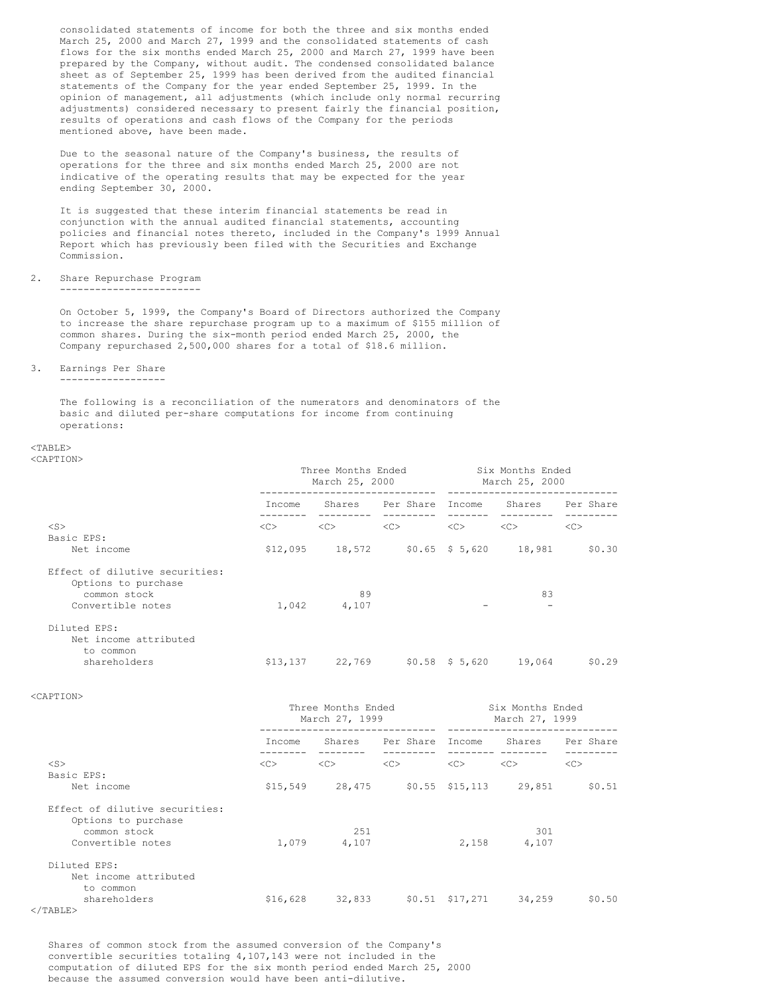consolidated statements of income for both the three and six months ended March 25, 2000 and March 27, 1999 and the consolidated statements of cash flows for the six months ended March 25, 2000 and March 27, 1999 have been prepared by the Company, without audit. The condensed consolidated balance sheet as of September 25, 1999 has been derived from the audited financial statements of the Company for the year ended September 25, 1999. In the opinion of management, all adjustments (which include only normal recurring adjustments) considered necessary to present fairly the financial position, results of operations and cash flows of the Company for the periods mentioned above, have been made.

Due to the seasonal nature of the Company's business, the results of operations for the three and six months ended March 25, 2000 are not indicative of the operating results that may be expected for the year ending September 30, 2000.

It is suggested that these interim financial statements be read in conjunction with the annual audited financial statements, accounting policies and financial notes thereto, included in the Company's 1999 Annual Report which has previously been filed with the Securities and Exchange Commission.

2. Share Repurchase Program ------------------------

> On October 5, 1999, the Company's Board of Directors authorized the Company to increase the share repurchase program up to a maximum of \$155 million of common shares. During the six-month period ended March 25, 2000, the Company repurchased 2,500,000 shares for a total of \$18.6 million.

3. Earnings Per Share

------------------

The following is a reconciliation of the numerators and denominators of the basic and diluted per-share computations for income from continuing operations:

### $<$ TABLE> <CAPTION>

|                                                                       | Three Months Ended<br>March 25, 2000 |        |           | Six Months Ended<br>March 25, 2000 |        |           |
|-----------------------------------------------------------------------|--------------------------------------|--------|-----------|------------------------------------|--------|-----------|
|                                                                       | Income                               | Shares | Per Share | Income                             | Shares | Per Share |
| $<$ S $>$<br>Basic EPS:                                               | <<>                                  | <<     | <<        | <<                                 | <<>    | <<        |
| Net income                                                            | \$12,095                             | 18,572 |           | $$0.65$ $$5.620$                   | 18,981 | \$0.30    |
| Effect of dilutive securities:<br>Options to purchase<br>common stock |                                      | 89     |           |                                    | 83     |           |
| Convertible notes                                                     | 1,042                                | 4,107  |           |                                    |        |           |
| Diluted EPS:<br>Net income attributed<br>to common                    |                                      |        |           |                                    |        |           |
| shareholders                                                          | \$13,137                             | 22,769 |           | $$0.58$ $$5.620$                   | 19,064 | \$0.29    |

<CAPTION>

|                                                       | Three Months Ended<br>March 27, 1999 |        |                  | Six Months Ended<br>March 27, 1999 |        |           |
|-------------------------------------------------------|--------------------------------------|--------|------------------|------------------------------------|--------|-----------|
|                                                       | Income                               | Shares | Per Share Income |                                    | Shares | Per Share |
| $<$ S $>$                                             | $<<$ $>>$                            | <<>    | <<               | <<                                 | <<>    | <<        |
| Basic EPS:                                            |                                      |        |                  |                                    |        |           |
| Net income                                            | \$15,549                             | 28,475 |                  | $$0.55$ $$15,113$                  | 29,851 | \$0.51    |
| Effect of dilutive securities:<br>Options to purchase |                                      |        |                  |                                    |        |           |
| common stock                                          |                                      | 251    |                  |                                    | 301    |           |
| Convertible notes                                     | 1,079                                | 4,107  |                  | 2,158                              | 4,107  |           |
| Diluted EPS:                                          |                                      |        |                  |                                    |        |           |
| Net income attributed                                 |                                      |        |                  |                                    |        |           |
| to common                                             |                                      |        |                  |                                    |        |           |
| shareholders                                          | \$16,628                             | 32,833 |                  | $$0.51$ $$17,271$                  | 34,259 | \$0.50    |
| $\langle$ /TABLE>                                     |                                      |        |                  |                                    |        |           |

Shares of common stock from the assumed conversion of the Company's convertible securities totaling 4,107,143 were not included in the computation of diluted EPS for the six month period ended March 25, 2000 because the assumed conversion would have been anti-dilutive.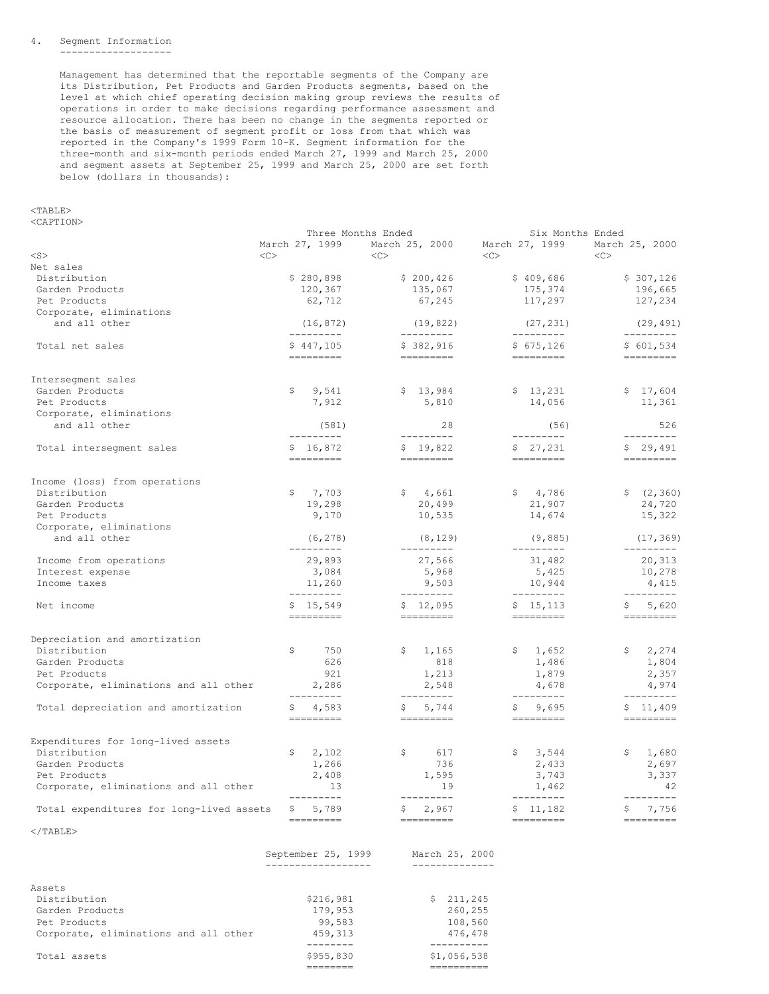#### 4. Segment Information -------------------

Management has determined that the reportable segments of the Company are its Distribution, Pet Products and Garden Products segments, based on the level at which chief operating decision making group reviews the results of operations in order to make decisions regarding performance assessment and resource allocation. There has been no change in the segments reported or the basis of measurement of segment profit or loss from that which was reported in the Company's 1999 Form 10-K. Segment information for the three-month and six-month periods ended March 27, 1999 and March 25, 2000 and segment assets at September 25, 1999 and March 25, 2000 are set forth below (dollars in thousands):

<TABLE>

<CAPTION>

|                                          | Three Months Ended                                                                                                                                                                                                                                                                                                                                                                                                                                                                                                                                                                                                                                                                                                                       |                                                                                                                                   | Six Months Ended                                                                                                                                                                                                                                                                                                                                                                                                                                                                |                |
|------------------------------------------|------------------------------------------------------------------------------------------------------------------------------------------------------------------------------------------------------------------------------------------------------------------------------------------------------------------------------------------------------------------------------------------------------------------------------------------------------------------------------------------------------------------------------------------------------------------------------------------------------------------------------------------------------------------------------------------------------------------------------------------|-----------------------------------------------------------------------------------------------------------------------------------|---------------------------------------------------------------------------------------------------------------------------------------------------------------------------------------------------------------------------------------------------------------------------------------------------------------------------------------------------------------------------------------------------------------------------------------------------------------------------------|----------------|
|                                          | March 27, 1999                                                                                                                                                                                                                                                                                                                                                                                                                                                                                                                                                                                                                                                                                                                           | March 25, 2000                                                                                                                    | March 27, 1999                                                                                                                                                                                                                                                                                                                                                                                                                                                                  | March 25, 2000 |
| $<$ S $>$                                | < <sub></sub>                                                                                                                                                                                                                                                                                                                                                                                                                                                                                                                                                                                                                                                                                                                            | < <sub></sub>                                                                                                                     | <<>                                                                                                                                                                                                                                                                                                                                                                                                                                                                             | <<             |
| Net sales                                |                                                                                                                                                                                                                                                                                                                                                                                                                                                                                                                                                                                                                                                                                                                                          |                                                                                                                                   |                                                                                                                                                                                                                                                                                                                                                                                                                                                                                 |                |
| Distribution                             | \$280,898                                                                                                                                                                                                                                                                                                                                                                                                                                                                                                                                                                                                                                                                                                                                | \$200,426                                                                                                                         | \$409,686                                                                                                                                                                                                                                                                                                                                                                                                                                                                       | \$307,126      |
| Garden Products                          | 120,367                                                                                                                                                                                                                                                                                                                                                                                                                                                                                                                                                                                                                                                                                                                                  | 135,067                                                                                                                           | 175,374                                                                                                                                                                                                                                                                                                                                                                                                                                                                         | 196,665        |
| Pet Products                             | 62,712                                                                                                                                                                                                                                                                                                                                                                                                                                                                                                                                                                                                                                                                                                                                   | 67,245                                                                                                                            | 117,297                                                                                                                                                                                                                                                                                                                                                                                                                                                                         | 127,234        |
|                                          |                                                                                                                                                                                                                                                                                                                                                                                                                                                                                                                                                                                                                                                                                                                                          |                                                                                                                                   |                                                                                                                                                                                                                                                                                                                                                                                                                                                                                 |                |
| Corporate, eliminations                  |                                                                                                                                                                                                                                                                                                                                                                                                                                                                                                                                                                                                                                                                                                                                          |                                                                                                                                   |                                                                                                                                                                                                                                                                                                                                                                                                                                                                                 |                |
| and all other                            | (16, 872)                                                                                                                                                                                                                                                                                                                                                                                                                                                                                                                                                                                                                                                                                                                                | (19, 822)                                                                                                                         | (27, 231)                                                                                                                                                                                                                                                                                                                                                                                                                                                                       | (29, 491)      |
|                                          | ---------                                                                                                                                                                                                                                                                                                                                                                                                                                                                                                                                                                                                                                                                                                                                | ----------                                                                                                                        | ---------                                                                                                                                                                                                                                                                                                                                                                                                                                                                       | ---------      |
| Total net sales                          | \$447,105                                                                                                                                                                                                                                                                                                                                                                                                                                                                                                                                                                                                                                                                                                                                | \$382,916                                                                                                                         | \$675, 126                                                                                                                                                                                                                                                                                                                                                                                                                                                                      | \$601,534      |
|                                          | ---------                                                                                                                                                                                                                                                                                                                                                                                                                                                                                                                                                                                                                                                                                                                                | =========                                                                                                                         | =========                                                                                                                                                                                                                                                                                                                                                                                                                                                                       | =========      |
|                                          |                                                                                                                                                                                                                                                                                                                                                                                                                                                                                                                                                                                                                                                                                                                                          |                                                                                                                                   |                                                                                                                                                                                                                                                                                                                                                                                                                                                                                 |                |
| Interseqment sales                       |                                                                                                                                                                                                                                                                                                                                                                                                                                                                                                                                                                                                                                                                                                                                          |                                                                                                                                   |                                                                                                                                                                                                                                                                                                                                                                                                                                                                                 |                |
| Garden Products                          | 9,541<br>\$                                                                                                                                                                                                                                                                                                                                                                                                                                                                                                                                                                                                                                                                                                                              | \$13,984                                                                                                                          | \$13,231                                                                                                                                                                                                                                                                                                                                                                                                                                                                        | \$17,604       |
| Pet Products                             | 7,912                                                                                                                                                                                                                                                                                                                                                                                                                                                                                                                                                                                                                                                                                                                                    | 5,810                                                                                                                             | 14,056                                                                                                                                                                                                                                                                                                                                                                                                                                                                          | 11,361         |
| Corporate, eliminations                  |                                                                                                                                                                                                                                                                                                                                                                                                                                                                                                                                                                                                                                                                                                                                          |                                                                                                                                   |                                                                                                                                                                                                                                                                                                                                                                                                                                                                                 |                |
| and all other                            | (581)                                                                                                                                                                                                                                                                                                                                                                                                                                                                                                                                                                                                                                                                                                                                    | 28                                                                                                                                | (56)                                                                                                                                                                                                                                                                                                                                                                                                                                                                            | 526            |
|                                          | ----------                                                                                                                                                                                                                                                                                                                                                                                                                                                                                                                                                                                                                                                                                                                               | ----------                                                                                                                        | ---------                                                                                                                                                                                                                                                                                                                                                                                                                                                                       | ----------     |
| Total intersegment sales                 | \$16,872                                                                                                                                                                                                                                                                                                                                                                                                                                                                                                                                                                                                                                                                                                                                 | \$19,822                                                                                                                          | \$27,231                                                                                                                                                                                                                                                                                                                                                                                                                                                                        | \$29,491       |
|                                          | ---------                                                                                                                                                                                                                                                                                                                                                                                                                                                                                                                                                                                                                                                                                                                                | =========                                                                                                                         | ---------                                                                                                                                                                                                                                                                                                                                                                                                                                                                       |                |
|                                          |                                                                                                                                                                                                                                                                                                                                                                                                                                                                                                                                                                                                                                                                                                                                          |                                                                                                                                   |                                                                                                                                                                                                                                                                                                                                                                                                                                                                                 |                |
| Income (loss) from operations            |                                                                                                                                                                                                                                                                                                                                                                                                                                                                                                                                                                                                                                                                                                                                          |                                                                                                                                   |                                                                                                                                                                                                                                                                                                                                                                                                                                                                                 |                |
| Distribution                             | \$<br>7,703                                                                                                                                                                                                                                                                                                                                                                                                                                                                                                                                                                                                                                                                                                                              | \$4,661                                                                                                                           | \$4,786                                                                                                                                                                                                                                                                                                                                                                                                                                                                         | \$ (2, 360)    |
| Garden Products                          | 19,298                                                                                                                                                                                                                                                                                                                                                                                                                                                                                                                                                                                                                                                                                                                                   | 20,499                                                                                                                            | 21,907                                                                                                                                                                                                                                                                                                                                                                                                                                                                          | 24,720         |
|                                          |                                                                                                                                                                                                                                                                                                                                                                                                                                                                                                                                                                                                                                                                                                                                          |                                                                                                                                   |                                                                                                                                                                                                                                                                                                                                                                                                                                                                                 | 15,322         |
| Pet Products                             | 9,170                                                                                                                                                                                                                                                                                                                                                                                                                                                                                                                                                                                                                                                                                                                                    | 10,535                                                                                                                            | 14,674                                                                                                                                                                                                                                                                                                                                                                                                                                                                          |                |
| Corporate, eliminations                  |                                                                                                                                                                                                                                                                                                                                                                                                                                                                                                                                                                                                                                                                                                                                          |                                                                                                                                   |                                                                                                                                                                                                                                                                                                                                                                                                                                                                                 |                |
| and all other                            | (6, 278)                                                                                                                                                                                                                                                                                                                                                                                                                                                                                                                                                                                                                                                                                                                                 | (8, 129)                                                                                                                          | (9,885)                                                                                                                                                                                                                                                                                                                                                                                                                                                                         | (17, 369)      |
|                                          | ---------                                                                                                                                                                                                                                                                                                                                                                                                                                                                                                                                                                                                                                                                                                                                | ---------                                                                                                                         | ---------                                                                                                                                                                                                                                                                                                                                                                                                                                                                       | ---------      |
| Income from operations                   | 29,893                                                                                                                                                                                                                                                                                                                                                                                                                                                                                                                                                                                                                                                                                                                                   | 27,566                                                                                                                            | 31,482                                                                                                                                                                                                                                                                                                                                                                                                                                                                          | 20,313         |
| Interest expense                         | 3,084                                                                                                                                                                                                                                                                                                                                                                                                                                                                                                                                                                                                                                                                                                                                    | 5,968                                                                                                                             | 5,425                                                                                                                                                                                                                                                                                                                                                                                                                                                                           | 10,278         |
| Income taxes                             | 11,260                                                                                                                                                                                                                                                                                                                                                                                                                                                                                                                                                                                                                                                                                                                                   | 9,503                                                                                                                             | 10,944                                                                                                                                                                                                                                                                                                                                                                                                                                                                          | 4,415          |
|                                          | ---------                                                                                                                                                                                                                                                                                                                                                                                                                                                                                                                                                                                                                                                                                                                                | ---------                                                                                                                         | $-- - - - - - - -$                                                                                                                                                                                                                                                                                                                                                                                                                                                              | ---------      |
| Net income                               | \$15,549                                                                                                                                                                                                                                                                                                                                                                                                                                                                                                                                                                                                                                                                                                                                 | \$12,095                                                                                                                          | \$15,113                                                                                                                                                                                                                                                                                                                                                                                                                                                                        | 5,620<br>S.    |
|                                          | $\qquad \qquad \Rightarrow \qquad \qquad \Rightarrow \qquad \qquad \Rightarrow \qquad \qquad \Rightarrow \qquad \qquad \Rightarrow \qquad \qquad \Rightarrow \qquad \qquad \Rightarrow \qquad \qquad \Rightarrow \qquad \qquad \Rightarrow \qquad \qquad \Rightarrow \qquad \qquad \Rightarrow \qquad \qquad \Rightarrow \qquad \qquad \Rightarrow \qquad \qquad \Rightarrow \qquad \qquad \Rightarrow \qquad \qquad \Rightarrow \qquad \qquad \Rightarrow \qquad \qquad \Rightarrow \qquad \qquad \Rightarrow \qquad \qquad \Rightarrow \qquad \qquad \Rightarrow \qquad \qquad \Rightarrow \qquad \qquad \Rightarrow \qquad \qquad \Rightarrow \qquad \qquad \Rightarrow \qquad \qquad \Rightarrow \qquad \qquad \Rightarrow \qquad \$ | $\qquad \qquad \doteq\qquad \qquad \doteq\qquad \qquad \doteq\qquad \qquad \doteq\qquad \qquad \qquad \doteq\qquad \qquad \qquad$ | $\begin{tabular}{lllllllllll} \multicolumn{3}{l}{} & \multicolumn{3}{l}{} & \multicolumn{3}{l}{} & \multicolumn{3}{l}{} & \multicolumn{3}{l}{} & \multicolumn{3}{l}{} & \multicolumn{3}{l}{} & \multicolumn{3}{l}{} & \multicolumn{3}{l}{} & \multicolumn{3}{l}{} & \multicolumn{3}{l}{} & \multicolumn{3}{l}{} & \multicolumn{3}{l}{} & \multicolumn{3}{l}{} & \multicolumn{3}{l}{} & \multicolumn{3}{l}{} & \multicolumn{3}{l}{} & \multicolumn{3}{l}{} & \multicolumn{3}{l}$ | ---------      |
|                                          |                                                                                                                                                                                                                                                                                                                                                                                                                                                                                                                                                                                                                                                                                                                                          |                                                                                                                                   |                                                                                                                                                                                                                                                                                                                                                                                                                                                                                 |                |
| Depreciation and amortization            |                                                                                                                                                                                                                                                                                                                                                                                                                                                                                                                                                                                                                                                                                                                                          |                                                                                                                                   |                                                                                                                                                                                                                                                                                                                                                                                                                                                                                 |                |
| Distribution                             | \$<br>750                                                                                                                                                                                                                                                                                                                                                                                                                                                                                                                                                                                                                                                                                                                                | \$<br>1,165                                                                                                                       | \$1,652                                                                                                                                                                                                                                                                                                                                                                                                                                                                         | \$2,274        |
| Garden Products                          | 626                                                                                                                                                                                                                                                                                                                                                                                                                                                                                                                                                                                                                                                                                                                                      | 818                                                                                                                               | 1,486                                                                                                                                                                                                                                                                                                                                                                                                                                                                           | 1,804          |
| Pet Products                             | 921                                                                                                                                                                                                                                                                                                                                                                                                                                                                                                                                                                                                                                                                                                                                      | 1,213                                                                                                                             | 1,879                                                                                                                                                                                                                                                                                                                                                                                                                                                                           | 2,357          |
| Corporate, eliminations and all other    | 2,286                                                                                                                                                                                                                                                                                                                                                                                                                                                                                                                                                                                                                                                                                                                                    | 2,548                                                                                                                             | 4,678                                                                                                                                                                                                                                                                                                                                                                                                                                                                           | 4,974          |
|                                          | ---------                                                                                                                                                                                                                                                                                                                                                                                                                                                                                                                                                                                                                                                                                                                                | ----------                                                                                                                        | ----------                                                                                                                                                                                                                                                                                                                                                                                                                                                                      | ---------      |
| Total depreciation and amortization      | 4,583<br>Ş.                                                                                                                                                                                                                                                                                                                                                                                                                                                                                                                                                                                                                                                                                                                              | 5,744                                                                                                                             | 9,695                                                                                                                                                                                                                                                                                                                                                                                                                                                                           | \$11,409       |
|                                          | $\qquad \qquad \Rightarrow \qquad \qquad \Rightarrow \qquad \qquad \Rightarrow \qquad \qquad \Rightarrow \qquad \qquad \Rightarrow \qquad \qquad \Rightarrow \qquad \qquad \Rightarrow \qquad \qquad \Rightarrow \qquad \qquad \Rightarrow \qquad \qquad \Rightarrow \qquad \qquad \Rightarrow \qquad \qquad \Rightarrow \qquad \qquad \Rightarrow \qquad \qquad \Rightarrow \qquad \qquad \Rightarrow \qquad \qquad \Rightarrow \qquad \qquad \Rightarrow \qquad \qquad \Rightarrow \qquad \qquad \Rightarrow \qquad \qquad \Rightarrow \qquad \qquad \Rightarrow \qquad \qquad \Rightarrow \qquad \qquad \Rightarrow \qquad \qquad \Rightarrow \qquad \qquad \Rightarrow \qquad \qquad \Rightarrow \qquad \qquad \Rightarrow \qquad \$ |                                                                                                                                   | $\qquad \qquad \doteq\qquad \qquad \doteq\qquad \qquad \doteq\qquad \qquad \doteq\qquad \qquad \qquad \doteq\qquad \qquad \qquad$                                                                                                                                                                                                                                                                                                                                               | =========      |
|                                          |                                                                                                                                                                                                                                                                                                                                                                                                                                                                                                                                                                                                                                                                                                                                          |                                                                                                                                   |                                                                                                                                                                                                                                                                                                                                                                                                                                                                                 |                |
| Expenditures for long-lived assets       |                                                                                                                                                                                                                                                                                                                                                                                                                                                                                                                                                                                                                                                                                                                                          |                                                                                                                                   |                                                                                                                                                                                                                                                                                                                                                                                                                                                                                 |                |
|                                          |                                                                                                                                                                                                                                                                                                                                                                                                                                                                                                                                                                                                                                                                                                                                          | \$                                                                                                                                |                                                                                                                                                                                                                                                                                                                                                                                                                                                                                 |                |
| Distribution                             | 2,102<br>\$                                                                                                                                                                                                                                                                                                                                                                                                                                                                                                                                                                                                                                                                                                                              | 617                                                                                                                               | 3,544<br>\$                                                                                                                                                                                                                                                                                                                                                                                                                                                                     | \$1,680        |
| Garden Products                          | 1,266                                                                                                                                                                                                                                                                                                                                                                                                                                                                                                                                                                                                                                                                                                                                    | 736                                                                                                                               | 2,433                                                                                                                                                                                                                                                                                                                                                                                                                                                                           | 2,697          |
| Pet Products                             | 2,408                                                                                                                                                                                                                                                                                                                                                                                                                                                                                                                                                                                                                                                                                                                                    | 1,595                                                                                                                             | 3,743                                                                                                                                                                                                                                                                                                                                                                                                                                                                           | 3,337          |
| Corporate, eliminations and all other    | 13                                                                                                                                                                                                                                                                                                                                                                                                                                                                                                                                                                                                                                                                                                                                       | 19                                                                                                                                | 1,462                                                                                                                                                                                                                                                                                                                                                                                                                                                                           | 42             |
|                                          | ---------                                                                                                                                                                                                                                                                                                                                                                                                                                                                                                                                                                                                                                                                                                                                | ---------                                                                                                                         | $-- - - - - - - -$                                                                                                                                                                                                                                                                                                                                                                                                                                                              | ---------      |
| Total expenditures for long-lived assets | \$5,789                                                                                                                                                                                                                                                                                                                                                                                                                                                                                                                                                                                                                                                                                                                                  | 2,967<br>Ş.                                                                                                                       | \$11,182                                                                                                                                                                                                                                                                                                                                                                                                                                                                        | 7,756<br>Ş.    |
|                                          | =========                                                                                                                                                                                                                                                                                                                                                                                                                                                                                                                                                                                                                                                                                                                                | $\qquad \qquad \doteq\qquad \qquad \doteq\qquad \qquad \doteq\qquad \qquad \doteq\qquad \qquad \qquad \doteq\qquad \qquad \qquad$ | ----------                                                                                                                                                                                                                                                                                                                                                                                                                                                                      | =========      |
| $\langle$ /TABLE>                        |                                                                                                                                                                                                                                                                                                                                                                                                                                                                                                                                                                                                                                                                                                                                          |                                                                                                                                   |                                                                                                                                                                                                                                                                                                                                                                                                                                                                                 |                |
|                                          |                                                                                                                                                                                                                                                                                                                                                                                                                                                                                                                                                                                                                                                                                                                                          |                                                                                                                                   |                                                                                                                                                                                                                                                                                                                                                                                                                                                                                 |                |
|                                          | September 25, 1999                                                                                                                                                                                                                                                                                                                                                                                                                                                                                                                                                                                                                                                                                                                       | March 25, 2000                                                                                                                    |                                                                                                                                                                                                                                                                                                                                                                                                                                                                                 |                |
|                                          | ------------------                                                                                                                                                                                                                                                                                                                                                                                                                                                                                                                                                                                                                                                                                                                       | --------------                                                                                                                    |                                                                                                                                                                                                                                                                                                                                                                                                                                                                                 |                |
|                                          |                                                                                                                                                                                                                                                                                                                                                                                                                                                                                                                                                                                                                                                                                                                                          |                                                                                                                                   |                                                                                                                                                                                                                                                                                                                                                                                                                                                                                 |                |
| Assets                                   |                                                                                                                                                                                                                                                                                                                                                                                                                                                                                                                                                                                                                                                                                                                                          |                                                                                                                                   |                                                                                                                                                                                                                                                                                                                                                                                                                                                                                 |                |
| Distribution                             | \$216,981                                                                                                                                                                                                                                                                                                                                                                                                                                                                                                                                                                                                                                                                                                                                | \$211,245                                                                                                                         |                                                                                                                                                                                                                                                                                                                                                                                                                                                                                 |                |
| Garden Products                          | 179,953                                                                                                                                                                                                                                                                                                                                                                                                                                                                                                                                                                                                                                                                                                                                  | 260,255                                                                                                                           |                                                                                                                                                                                                                                                                                                                                                                                                                                                                                 |                |
| Pet Products                             | 99,583                                                                                                                                                                                                                                                                                                                                                                                                                                                                                                                                                                                                                                                                                                                                   | 108,560                                                                                                                           |                                                                                                                                                                                                                                                                                                                                                                                                                                                                                 |                |
| Corporate, eliminations and all other    | 459,313                                                                                                                                                                                                                                                                                                                                                                                                                                                                                                                                                                                                                                                                                                                                  | 476,478                                                                                                                           |                                                                                                                                                                                                                                                                                                                                                                                                                                                                                 |                |
|                                          | --------                                                                                                                                                                                                                                                                                                                                                                                                                                                                                                                                                                                                                                                                                                                                 | ----------                                                                                                                        |                                                                                                                                                                                                                                                                                                                                                                                                                                                                                 |                |
| Total assets                             | \$955,830                                                                                                                                                                                                                                                                                                                                                                                                                                                                                                                                                                                                                                                                                                                                | \$1,056,538                                                                                                                       |                                                                                                                                                                                                                                                                                                                                                                                                                                                                                 |                |

======== ==========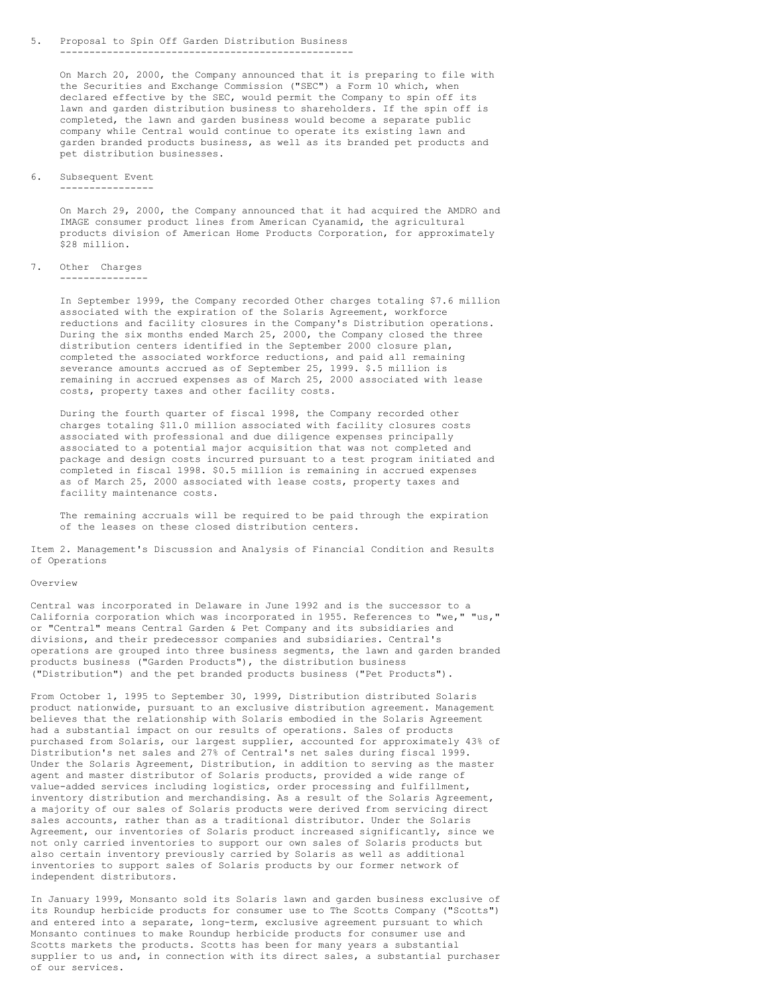#### 5. Proposal to Spin Off Garden Distribution Business --------------------------------------------------

On March 20, 2000, the Company announced that it is preparing to file with the Securities and Exchange Commission ("SEC") a Form 10 which, when declared effective by the SEC, would permit the Company to spin off its lawn and garden distribution business to shareholders. If the spin off is completed, the lawn and garden business would become a separate public company while Central would continue to operate its existing lawn and garden branded products business, as well as its branded pet products and pet distribution businesses.

## 6. Subsequent Event

----------------

On March 29, 2000, the Company announced that it had acquired the AMDRO and IMAGE consumer product lines from American Cyanamid, the agricultural products division of American Home Products Corporation, for approximately \$28 million.

### 7. Other Charges ---------------

In September 1999, the Company recorded Other charges totaling \$7.6 million associated with the expiration of the Solaris Agreement, workforce reductions and facility closures in the Company's Distribution operations. During the six months ended March 25, 2000, the Company closed the three distribution centers identified in the September 2000 closure plan, completed the associated workforce reductions, and paid all remaining severance amounts accrued as of September 25, 1999. \$.5 million is remaining in accrued expenses as of March 25, 2000 associated with lease costs, property taxes and other facility costs.

During the fourth quarter of fiscal 1998, the Company recorded other charges totaling \$11.0 million associated with facility closures costs associated with professional and due diligence expenses principally associated to a potential major acquisition that was not completed and package and design costs incurred pursuant to a test program initiated and completed in fiscal 1998. \$0.5 million is remaining in accrued expenses as of March 25, 2000 associated with lease costs, property taxes and facility maintenance costs.

The remaining accruals will be required to be paid through the expiration of the leases on these closed distribution centers.

Item 2. Management's Discussion and Analysis of Financial Condition and Results of Operations

### Overview

Central was incorporated in Delaware in June 1992 and is the successor to a California corporation which was incorporated in 1955. References to "we," "us," or "Central" means Central Garden & Pet Company and its subsidiaries and divisions, and their predecessor companies and subsidiaries. Central's operations are grouped into three business segments, the lawn and garden branded products business ("Garden Products"), the distribution business ("Distribution") and the pet branded products business ("Pet Products").

From October 1, 1995 to September 30, 1999, Distribution distributed Solaris product nationwide, pursuant to an exclusive distribution agreement. Management believes that the relationship with Solaris embodied in the Solaris Agreement had a substantial impact on our results of operations. Sales of products purchased from Solaris, our largest supplier, accounted for approximately 43% of Distribution's net sales and 27% of Central's net sales during fiscal 1999. Under the Solaris Agreement, Distribution, in addition to serving as the master agent and master distributor of Solaris products, provided a wide range of value-added services including logistics, order processing and fulfillment, inventory distribution and merchandising. As a result of the Solaris Agreement, a majority of our sales of Solaris products were derived from servicing direct sales accounts, rather than as a traditional distributor. Under the Solaris Agreement, our inventories of Solaris product increased significantly, since we not only carried inventories to support our own sales of Solaris products but also certain inventory previously carried by Solaris as well as additional inventories to support sales of Solaris products by our former network of independent distributors.

In January 1999, Monsanto sold its Solaris lawn and garden business exclusive of its Roundup herbicide products for consumer use to The Scotts Company ("Scotts") and entered into a separate, long-term, exclusive agreement pursuant to which Monsanto continues to make Roundup herbicide products for consumer use and Scotts markets the products. Scotts has been for many years a substantial supplier to us and, in connection with its direct sales, a substantial purchaser of our services.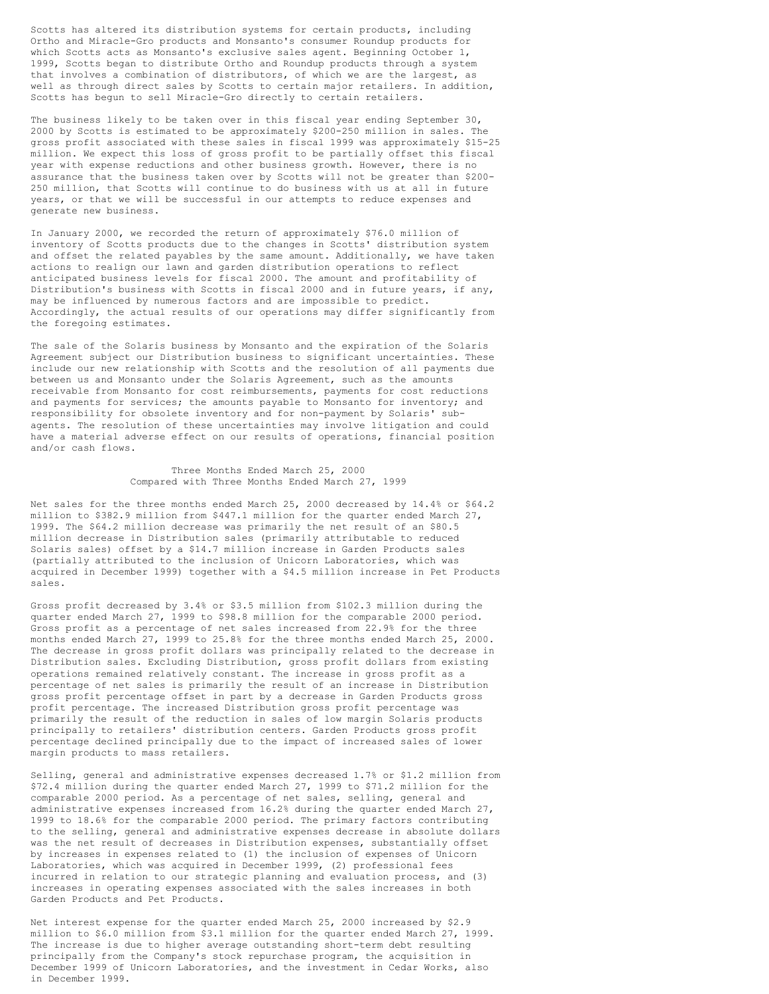Scotts has altered its distribution systems for certain products, including Ortho and Miracle-Gro products and Monsanto's consumer Roundup products for which Scotts acts as Monsanto's exclusive sales agent. Beginning October 1, 1999, Scotts began to distribute Ortho and Roundup products through a system that involves a combination of distributors, of which we are the largest, as well as through direct sales by Scotts to certain major retailers. In addition, Scotts has begun to sell Miracle-Gro directly to certain retailers.

The business likely to be taken over in this fiscal year ending September 30, 2000 by Scotts is estimated to be approximately \$200-250 million in sales. The gross profit associated with these sales in fiscal 1999 was approximately \$15-25 million. We expect this loss of gross profit to be partially offset this fiscal year with expense reductions and other business growth. However, there is no assurance that the business taken over by Scotts will not be greater than \$200- 250 million, that Scotts will continue to do business with us at all in future years, or that we will be successful in our attempts to reduce expenses and generate new business.

In January 2000, we recorded the return of approximately \$76.0 million of inventory of Scotts products due to the changes in Scotts' distribution system and offset the related payables by the same amount. Additionally, we have taken actions to realign our lawn and garden distribution operations to reflect anticipated business levels for fiscal 2000. The amount and profitability of Distribution's business with Scotts in fiscal 2000 and in future years, if any, may be influenced by numerous factors and are impossible to predict. Accordingly, the actual results of our operations may differ significantly from the foregoing estimates.

The sale of the Solaris business by Monsanto and the expiration of the Solaris Agreement subject our Distribution business to significant uncertainties. These include our new relationship with Scotts and the resolution of all payments due between us and Monsanto under the Solaris Agreement, such as the amounts receivable from Monsanto for cost reimbursements, payments for cost reductions and payments for services; the amounts payable to Monsanto for inventory; and responsibility for obsolete inventory and for non-payment by Solaris' subagents. The resolution of these uncertainties may involve litigation and could have a material adverse effect on our results of operations, financial position and/or cash flows.

> Three Months Ended March 25, 2000 Compared with Three Months Ended March 27, 1999

Net sales for the three months ended March 25, 2000 decreased by 14.4% or \$64.2 million to \$382.9 million from \$447.1 million for the quarter ended March 27, 1999. The \$64.2 million decrease was primarily the net result of an \$80.5 million decrease in Distribution sales (primarily attributable to reduced Solaris sales) offset by a \$14.7 million increase in Garden Products sales (partially attributed to the inclusion of Unicorn Laboratories, which was acquired in December 1999) together with a \$4.5 million increase in Pet Products sales.

Gross profit decreased by 3.4% or \$3.5 million from \$102.3 million during the quarter ended March 27, 1999 to \$98.8 million for the comparable 2000 period. Gross profit as a percentage of net sales increased from 22.9% for the three months ended March 27, 1999 to 25.8% for the three months ended March 25, 2000. The decrease in gross profit dollars was principally related to the decrease in Distribution sales. Excluding Distribution, gross profit dollars from existing operations remained relatively constant. The increase in gross profit as a percentage of net sales is primarily the result of an increase in Distribution gross profit percentage offset in part by a decrease in Garden Products gross profit percentage. The increased Distribution gross profit percentage was primarily the result of the reduction in sales of low margin Solaris products principally to retailers' distribution centers. Garden Products gross profit percentage declined principally due to the impact of increased sales of lower margin products to mass retailers.

Selling, general and administrative expenses decreased 1.7% or \$1.2 million from \$72.4 million during the quarter ended March 27, 1999 to \$71.2 million for the comparable 2000 period. As a percentage of net sales, selling, general and administrative expenses increased from 16.2% during the quarter ended March 27, 1999 to 18.6% for the comparable 2000 period. The primary factors contributing to the selling, general and administrative expenses decrease in absolute dollars was the net result of decreases in Distribution expenses, substantially offset by increases in expenses related to (1) the inclusion of expenses of Unicorn Laboratories, which was acquired in December 1999, (2) professional fees incurred in relation to our strategic planning and evaluation process, and (3) increases in operating expenses associated with the sales increases in both Garden Products and Pet Products.

Net interest expense for the quarter ended March 25, 2000 increased by \$2.9 million to \$6.0 million from \$3.1 million for the quarter ended March 27, 1999. The increase is due to higher average outstanding short-term debt resulting principally from the Company's stock repurchase program, the acquisition in December 1999 of Unicorn Laboratories, and the investment in Cedar Works, also in December 1999.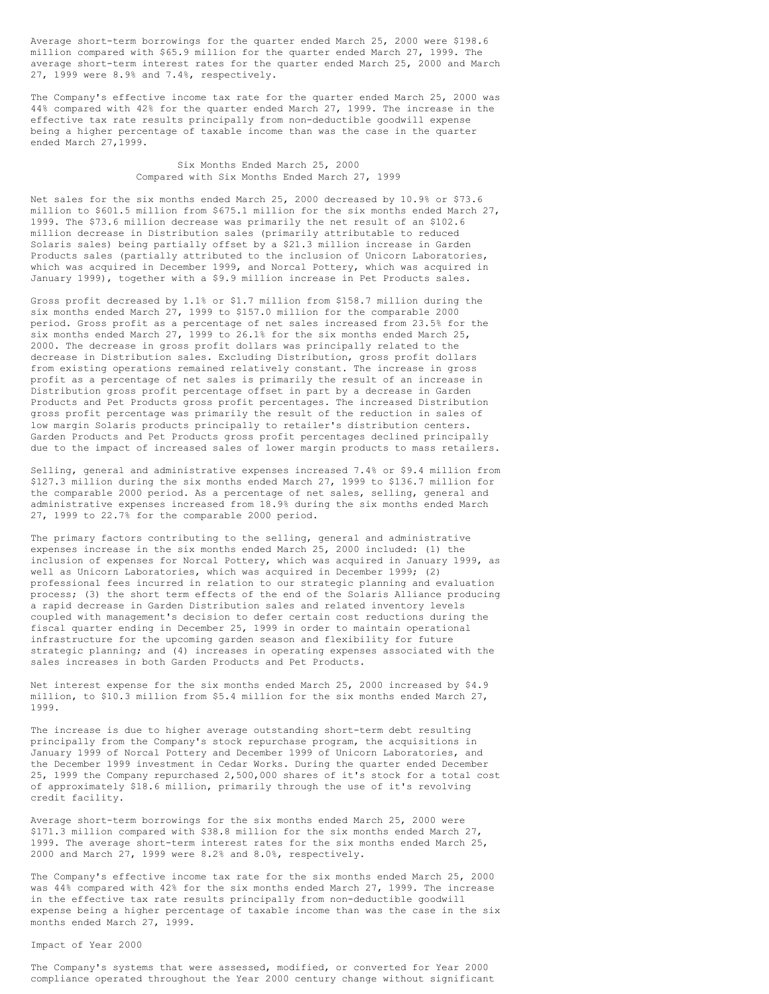Average short-term borrowings for the quarter ended March 25, 2000 were \$198.6 million compared with \$65.9 million for the quarter ended March 27, 1999. The average short-term interest rates for the quarter ended March 25, 2000 and March 27, 1999 were 8.9% and 7.4%, respectively.

The Company's effective income tax rate for the quarter ended March 25, 2000 was 44% compared with 42% for the quarter ended March 27, 1999. The increase in the effective tax rate results principally from non-deductible goodwill expense being a higher percentage of taxable income than was the case in the quarter ended March 27,1999.

> Six Months Ended March 25, 2000 Compared with Six Months Ended March 27, 1999

Net sales for the six months ended March 25, 2000 decreased by 10.9% or \$73.6 million to \$601.5 million from \$675.1 million for the six months ended March 27, 1999. The \$73.6 million decrease was primarily the net result of an \$102.6 million decrease in Distribution sales (primarily attributable to reduced Solaris sales) being partially offset by a \$21.3 million increase in Garden Products sales (partially attributed to the inclusion of Unicorn Laboratories, which was acquired in December 1999, and Norcal Pottery, which was acquired in January 1999), together with a \$9.9 million increase in Pet Products sales.

Gross profit decreased by 1.1% or \$1.7 million from \$158.7 million during the six months ended March 27, 1999 to \$157.0 million for the comparable 2000 period. Gross profit as a percentage of net sales increased from 23.5% for the six months ended March 27, 1999 to 26.1% for the six months ended March 25, 2000. The decrease in gross profit dollars was principally related to the decrease in Distribution sales. Excluding Distribution, gross profit dollars from existing operations remained relatively constant. The increase in gross profit as a percentage of net sales is primarily the result of an increase in Distribution gross profit percentage offset in part by a decrease in Garden Products and Pet Products gross profit percentages. The increased Distribution gross profit percentage was primarily the result of the reduction in sales of low margin Solaris products principally to retailer's distribution centers. Garden Products and Pet Products gross profit percentages declined principally due to the impact of increased sales of lower margin products to mass retailers.

Selling, general and administrative expenses increased 7.4% or \$9.4 million from \$127.3 million during the six months ended March 27, 1999 to \$136.7 million for the comparable 2000 period. As a percentage of net sales, selling, general and administrative expenses increased from 18.9% during the six months ended March 27, 1999 to 22.7% for the comparable 2000 period.

The primary factors contributing to the selling, general and administrative expenses increase in the six months ended March 25, 2000 included: (1) the inclusion of expenses for Norcal Pottery, which was acquired in January 1999, as well as Unicorn Laboratories, which was acquired in December 1999; (2) professional fees incurred in relation to our strategic planning and evaluation process; (3) the short term effects of the end of the Solaris Alliance producing a rapid decrease in Garden Distribution sales and related inventory levels coupled with management's decision to defer certain cost reductions during the fiscal quarter ending in December 25, 1999 in order to maintain operational infrastructure for the upcoming garden season and flexibility for future strategic planning; and (4) increases in operating expenses associated with the sales increases in both Garden Products and Pet Products.

Net interest expense for the six months ended March 25, 2000 increased by \$4.9 million, to \$10.3 million from \$5.4 million for the six months ended March 27, 1999.

The increase is due to higher average outstanding short-term debt resulting principally from the Company's stock repurchase program, the acquisitions in January 1999 of Norcal Pottery and December 1999 of Unicorn Laboratories, and the December 1999 investment in Cedar Works. During the quarter ended December 25, 1999 the Company repurchased 2,500,000 shares of it's stock for a total cost of approximately \$18.6 million, primarily through the use of it's revolving credit facility.

Average short-term borrowings for the six months ended March 25, 2000 were \$171.3 million compared with \$38.8 million for the six months ended March 27, 1999. The average short-term interest rates for the six months ended March 25, 2000 and March 27, 1999 were 8.2% and 8.0%, respectively.

The Company's effective income tax rate for the six months ended March 25, 2000 was 44% compared with 42% for the six months ended March 27, 1999. The increase in the effective tax rate results principally from non-deductible goodwill expense being a higher percentage of taxable income than was the case in the six months ended March 27, 1999.

Impact of Year 2000

The Company's systems that were assessed, modified, or converted for Year 2000 compliance operated throughout the Year 2000 century change without significant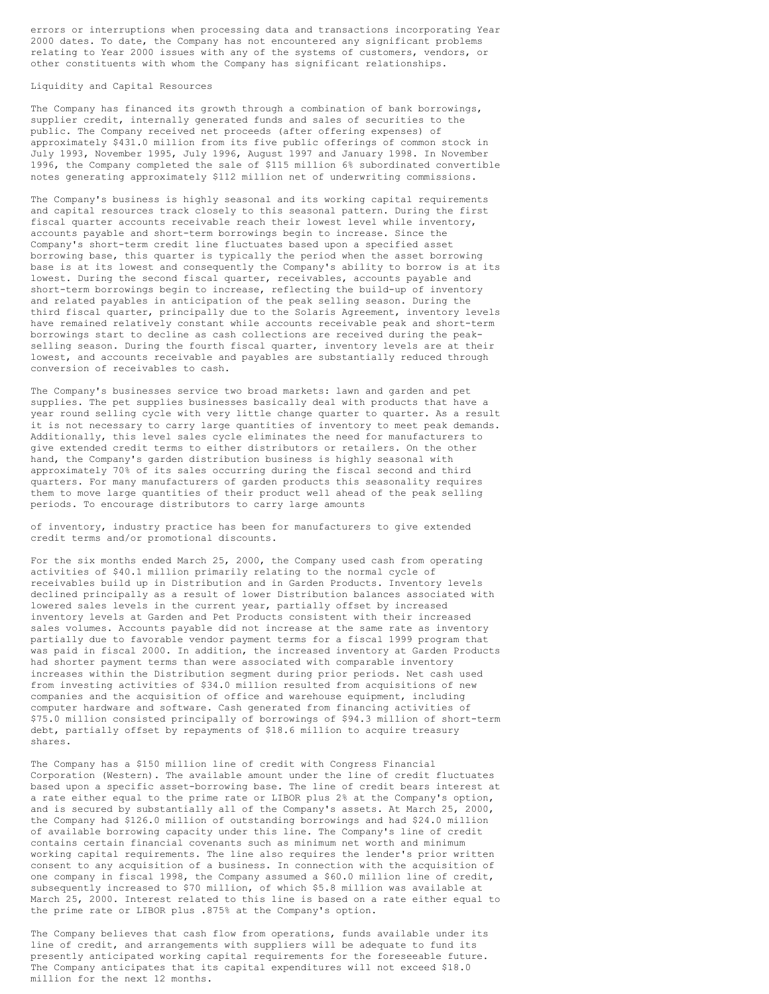errors or interruptions when processing data and transactions incorporating Year 2000 dates. To date, the Company has not encountered any significant problems relating to Year 2000 issues with any of the systems of customers, vendors, or other constituents with whom the Company has significant relationships.

Liquidity and Capital Resources

The Company has financed its growth through a combination of bank borrowings, supplier credit, internally generated funds and sales of securities to the public. The Company received net proceeds (after offering expenses) of approximately \$431.0 million from its five public offerings of common stock in July 1993, November 1995, July 1996, August 1997 and January 1998. In November 1996, the Company completed the sale of \$115 million 6% subordinated convertible notes generating approximately \$112 million net of underwriting commissions.

The Company's business is highly seasonal and its working capital requirements and capital resources track closely to this seasonal pattern. During the first fiscal quarter accounts receivable reach their lowest level while inventory, accounts payable and short-term borrowings begin to increase. Since the Company's short-term credit line fluctuates based upon a specified asset borrowing base, this quarter is typically the period when the asset borrowing base is at its lowest and consequently the Company's ability to borrow is at its lowest. During the second fiscal quarter, receivables, accounts payable and short-term borrowings begin to increase, reflecting the build-up of inventory and related payables in anticipation of the peak selling season. During the third fiscal quarter, principally due to the Solaris Agreement, inventory levels have remained relatively constant while accounts receivable peak and short-term borrowings start to decline as cash collections are received during the peakselling season. During the fourth fiscal quarter, inventory levels are at their lowest, and accounts receivable and payables are substantially reduced through conversion of receivables to cash.

The Company's businesses service two broad markets: lawn and garden and pet supplies. The pet supplies businesses basically deal with products that have a year round selling cycle with very little change quarter to quarter. As a result it is not necessary to carry large quantities of inventory to meet peak demands. Additionally, this level sales cycle eliminates the need for manufacturers to give extended credit terms to either distributors or retailers. On the other hand, the Company's garden distribution business is highly seasonal with approximately 70% of its sales occurring during the fiscal second and third quarters. For many manufacturers of garden products this seasonality requires them to move large quantities of their product well ahead of the peak selling periods. To encourage distributors to carry large amounts

of inventory, industry practice has been for manufacturers to give extended credit terms and/or promotional discounts.

For the six months ended March 25, 2000, the Company used cash from operating activities of \$40.1 million primarily relating to the normal cycle of receivables build up in Distribution and in Garden Products. Inventory levels declined principally as a result of lower Distribution balances associated with lowered sales levels in the current year, partially offset by increased inventory levels at Garden and Pet Products consistent with their increased sales volumes. Accounts payable did not increase at the same rate as inventory partially due to favorable vendor payment terms for a fiscal 1999 program that was paid in fiscal 2000. In addition, the increased inventory at Garden Products had shorter payment terms than were associated with comparable inventory increases within the Distribution segment during prior periods. Net cash used from investing activities of \$34.0 million resulted from acquisitions of new companies and the acquisition of office and warehouse equipment, including computer hardware and software. Cash generated from financing activities of \$75.0 million consisted principally of borrowings of \$94.3 million of short-term debt, partially offset by repayments of \$18.6 million to acquire treasury shares.

The Company has a \$150 million line of credit with Congress Financial Corporation (Western). The available amount under the line of credit fluctuates based upon a specific asset-borrowing base. The line of credit bears interest at a rate either equal to the prime rate or LIBOR plus 2% at the Company's option, and is secured by substantially all of the Company's assets. At March 25, 2000, the Company had \$126.0 million of outstanding borrowings and had \$24.0 million of available borrowing capacity under this line. The Company's line of credit contains certain financial covenants such as minimum net worth and minimum working capital requirements. The line also requires the lender's prior written consent to any acquisition of a business. In connection with the acquisition of one company in fiscal 1998, the Company assumed a \$60.0 million line of credit, subsequently increased to \$70 million, of which \$5.8 million was available at March 25, 2000. Interest related to this line is based on a rate either equal to the prime rate or LIBOR plus .875% at the Company's option.

The Company believes that cash flow from operations, funds available under its line of credit, and arrangements with suppliers will be adequate to fund its presently anticipated working capital requirements for the foreseeable future. The Company anticipates that its capital expenditures will not exceed \$18.0 million for the next 12 months.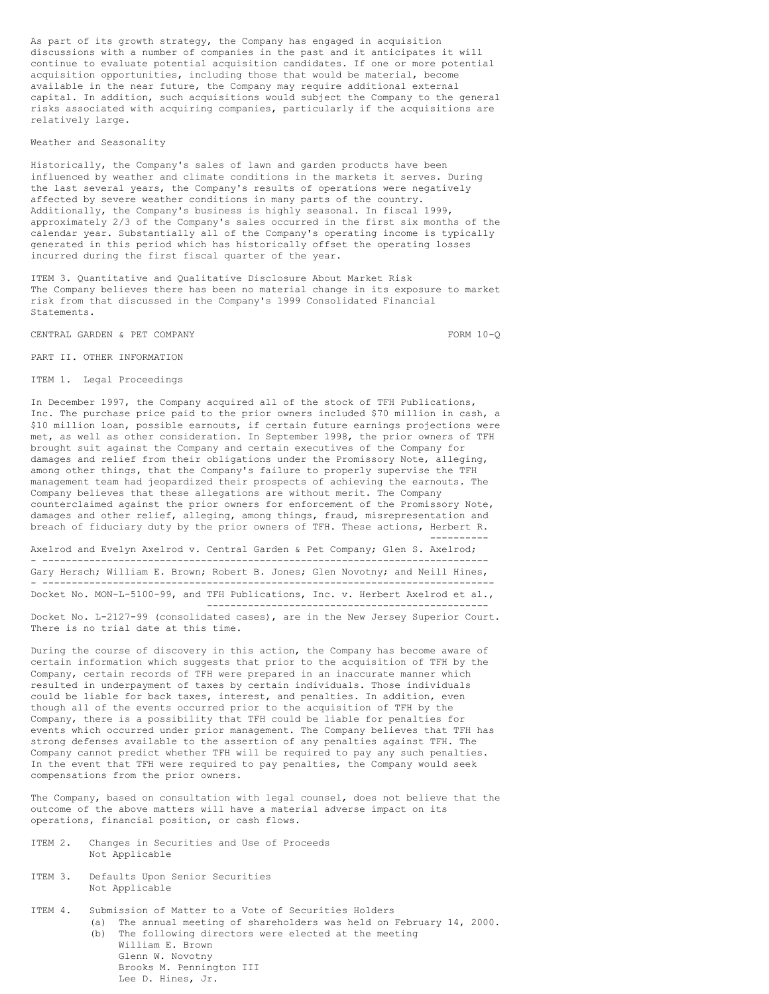As part of its growth strategy, the Company has engaged in acquisition discussions with a number of companies in the past and it anticipates it will continue to evaluate potential acquisition candidates. If one or more potential acquisition opportunities, including those that would be material, become available in the near future, the Company may require additional external capital. In addition, such acquisitions would subject the Company to the general risks associated with acquiring companies, particularly if the acquisitions are relatively large.

Weather and Seasonality

Historically, the Company's sales of lawn and garden products have been influenced by weather and climate conditions in the markets it serves. During the last several years, the Company's results of operations were negatively affected by severe weather conditions in many parts of the country. Additionally, the Company's business is highly seasonal. In fiscal 1999, approximately 2/3 of the Company's sales occurred in the first six months of the calendar year. Substantially all of the Company's operating income is typically generated in this period which has historically offset the operating losses incurred during the first fiscal quarter of the year.

ITEM 3. Quantitative and Qualitative Disclosure About Market Risk The Company believes there has been no material change in its exposure to market risk from that discussed in the Company's 1999 Consolidated Financial Statements.

CENTRAL GARDEN & PET COMPANY FORM 10-O

----------

PART II. OTHER INFORMATION

ITEM 1. Legal Proceedings

In December 1997, the Company acquired all of the stock of TFH Publications, Inc. The purchase price paid to the prior owners included \$70 million in cash, a \$10 million loan, possible earnouts, if certain future earnings projections were met, as well as other consideration. In September 1998, the prior owners of TFH brought suit against the Company and certain executives of the Company for damages and relief from their obligations under the Promissory Note, alleging, among other things, that the Company's failure to properly supervise the TFH management team had jeopardized their prospects of achieving the earnouts. The Company believes that these allegations are without merit. The Company counterclaimed against the prior owners for enforcement of the Promissory Note, damages and other relief, alleging, among things, fraud, misrepresentation and breach of fiduciary duty by the prior owners of TFH. These actions, Herbert R.

Axelrod and Evelyn Axelrod v. Central Garden & Pet Company; Glen S. Axelrod; - ---------------------------------------------------------------------------- Gary Hersch; William E. Brown; Robert B. Jones; Glen Novotny; and Neill Hines, - ----------------------------------------------------------------------------- Docket No. MON-L-5100-99, and TFH Publications, Inc. v. Herbert Axelrod et al., ------------------------------------------------

Docket No. L-2127-99 (consolidated cases), are in the New Jersey Superior Court. There is no trial date at this time.

During the course of discovery in this action, the Company has become aware of certain information which suggests that prior to the acquisition of TFH by the Company, certain records of TFH were prepared in an inaccurate manner which resulted in underpayment of taxes by certain individuals. Those individuals could be liable for back taxes, interest, and penalties. In addition, even though all of the events occurred prior to the acquisition of TFH by the Company, there is a possibility that TFH could be liable for penalties for events which occurred under prior management. The Company believes that TFH has strong defenses available to the assertion of any penalties against TFH. The Company cannot predict whether TFH will be required to pay any such penalties. In the event that TFH were required to pay penalties, the Company would seek compensations from the prior owners.

The Company, based on consultation with legal counsel, does not believe that the outcome of the above matters will have a material adverse impact on its operations, financial position, or cash flows.

- ITEM 2. Changes in Securities and Use of Proceeds Not Applicable
- ITEM 3. Defaults Upon Senior Securities Not Applicable
- ITEM 4. Submission of Matter to a Vote of Securities Holders (a) The annual meeting of shareholders was held on February 14, 2000. (b) The following directors were elected at the meeting William E. Brown Glenn W. Novotny Brooks M. Pennington III Lee D. Hines, Jr.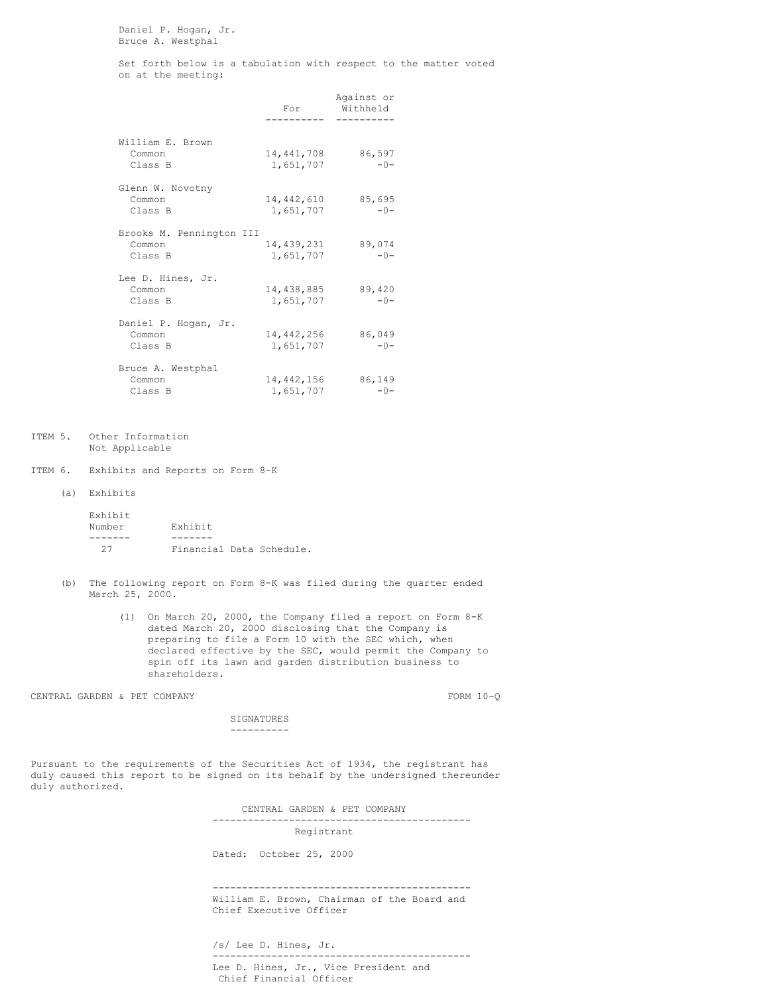Daniel P. Hogan, Jr. Bruce A. Westphal

Set forth below is a tabulation with respect to the matter voted on at the meeting:

|                                               | For                       | Against or<br>Withheld |
|-----------------------------------------------|---------------------------|------------------------|
|                                               |                           |                        |
| William E. Brown<br>Common<br>Class B         | 14,441,708<br>1,651,707   | 86,597<br>$-0-$        |
| Glenn W. Novotny<br>Common<br>Class B         | 14,442,610<br>1,651,707   | 85,695<br>$-0-$        |
| Brooks M. Pennington III<br>Common<br>Class B | 14,439,231<br>1,651,707   | 89,074<br>$-0-$        |
| Lee D. Hines, Jr.<br>Common<br>Class B        | 14,438,885<br>1,651,707   | 89,420<br>$-0-$        |
| Daniel P. Hogan, Jr.<br>Common<br>Class B     | 14,442,256<br>1,651,707   | 86,049<br>$-0-$        |
| Bruce A. Westphal<br>Common<br>Class B        | 14, 442, 156<br>1,651,707 | 86,149<br>$-0-$        |

- ITEM 5. Other Information Not Applicable
- ITEM 6. Exhibits and Reports on Form 8-K
	- (a) Exhibits

| Exhibit |                          |  |
|---------|--------------------------|--|
| Number  | Exhibit                  |  |
|         |                          |  |
| クワ      | Financial Data Schedule. |  |

- (b) The following report on Form 8-K was filed during the quarter ended March 25, 2000.
	- (1) On March 20, 2000, the Company filed a report on Form 8-K dated March 20, 2000 disclosing that the Company is preparing to file a Form 10 with the SEC which, when declared effective by the SEC, would permit the Company to spin off its lawn and garden distribution business to shareholders.

CENTRAL GARDEN & PET COMPANY FORM 10-Q

SIGNATURES ----------

Pursuant to the requirements of the Securities Act of 1934, the registrant has duly caused this report to be signed on its behalf by the undersigned thereunder duly authorized.

> CENTRAL GARDEN & PET COMPANY -------------------------------------------- Registrant

Dated: October 25, 2000

-------------------------------------------- William E. Brown, Chairman of the Board and Chief Executive Officer

/s/ Lee D. Hines, Jr. -------------------------------------------- Lee D. Hines, Jr., Vice President and Chief Financial Officer